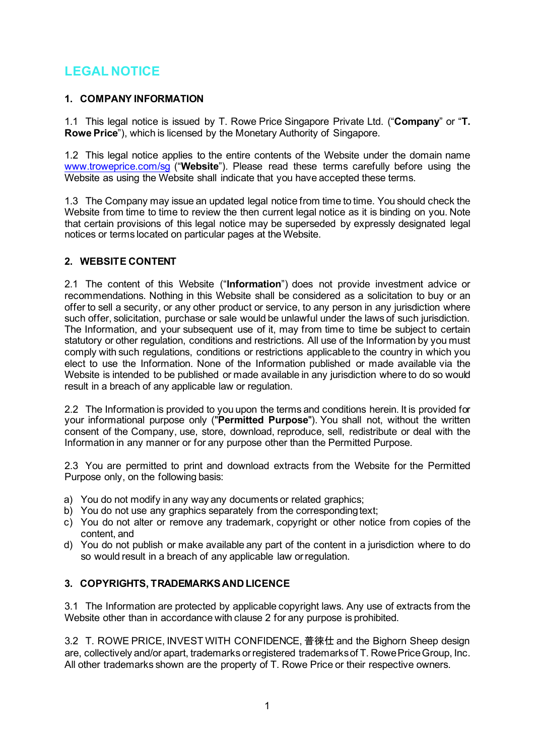# **LEGAL NOTICE**

## **1. COMPANY INFORMATION**

1.1 This legal notice is issued by T. Rowe Price Singapore Private Ltd. ("**Company**" or "**T. Rowe Price**"), which is licensed by the Monetary Authority of Singapore.

1.2 This legal notice applies to the entire contents of the Website under the domain nam[e](http://www.troweprice.com/sg) [www.troweprice.com/sg](http://www.troweprice.com/sg) ("**Website**"). Please read these terms carefully before using the Website as using the Website shall indicate that you have accepted these terms.

1.3 The Company may issue an updated legal notice from time to time. You should check the Website from time to time to review the then current legal notice as it is binding on you. Note that certain provisions of this legal notice may be superseded by expressly designated legal notices or terms located on particular pages at the Website.

# **2. WEBSITE CONTENT**

2.1 The content of this Website ("**Information**") does not provide investment advice or recommendations. Nothing in this Website shall be considered as a solicitation to buy or an offer to sell a security, or any other product or service, to any person in any jurisdiction where such offer, solicitation, purchase or sale would be unlawful under the laws of such jurisdiction. The Information, and your subsequent use of it, may from time to time be subject to certain statutory or other regulation, conditions and restrictions. All use of the Information by you must comply with such regulations, conditions or restrictions applicableto the country in which you elect to use the Information. None of the Information published or made available via the Website is intended to be published or made available in any jurisdiction where to do so would result in a breach of any applicable law or regulation.

2.2 The Information is provided to you upon the terms and conditions herein. It is provided for your informational purpose only ("**Permitted Purpose**"). You shall not, without the written consent of the Company, use, store, download, reproduce, sell, redistribute or deal with the Information in any manner or for any purpose other than the Permitted Purpose.

2.3 You are permitted to print and download extracts from the Website for the Permitted Purpose only, on the following basis:

- a) You do not modify in any way any documents or related graphics;
- b) You do not use any graphics separately from the corresponding text;
- c) You do not alter or remove any trademark, copyright or other notice from copies of the content, and
- d) You do not publish or make available any part of the content in a jurisdiction where to do so would result in a breach of any applicable law orregulation.

### **3. COPYRIGHTS, TRADEMARKS AND LICENCE**

3.1 The Information are protected by applicable copyright laws. Any use of extracts from the Website other than in accordance with clause 2 for any purpose is prohibited.

3.2 T. ROWE PRICE, INVEST WITH CONFIDENCE, 普徠仕 and the Bighorn Sheep design are, collectively and/or apart, trademarks orregistered trademarksof T. RowePriceGroup, Inc. All other trademarks shown are the property of T. Rowe Price or their respective owners.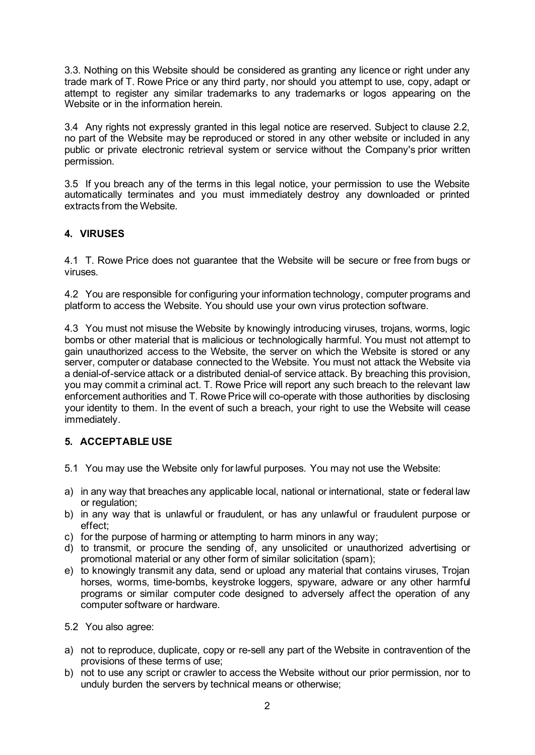3.3. Nothing on this Website should be considered as granting any licence or right under any trade mark of T. Rowe Price or any third party, nor should you attempt to use, copy, adapt or attempt to register any similar trademarks to any trademarks or logos appearing on the Website or in the information herein.

3.4 Any rights not expressly granted in this legal notice are reserved. Subject to clause 2.2, no part of the Website may be reproduced or stored in any other website or included in any public or private electronic retrieval system or service without the Company's prior written permission.

3.5 If you breach any of the terms in this legal notice, your permission to use the Website automatically terminates and you must immediately destroy any downloaded or printed extracts from the Website.

# **4. VIRUSES**

4.1 T. Rowe Price does not guarantee that the Website will be secure or free from bugs or viruses.

4.2 You are responsible for configuring your information technology, computer programs and platform to access the Website. You should use your own virus protection software.

4.3 You must not misuse the Website by knowingly introducing viruses, trojans, worms, logic bombs or other material that is malicious or technologically harmful. You must not attempt to gain unauthorized access to the Website, the server on which the Website is stored or any server, computer or database connected to the Website. You must not attack the Website via a denial-of-service attack or a distributed denial-of service attack. By breaching this provision, you may commit a criminal act. T. Rowe Price will report any such breach to the relevant law enforcement authorities and T. Rowe Price will co-operate with those authorities by disclosing your identity to them. In the event of such a breach, your right to use the Website will cease immediately.

# **5. ACCEPTABLE USE**

- 5.1 You may use the Website only for lawful purposes. You may not use the Website:
- a) in any way that breaches any applicable local, national or international, state or federal law or regulation;
- b) in any way that is unlawful or fraudulent, or has any unlawful or fraudulent purpose or effect;
- c) for the purpose of harming or attempting to harm minors in any way;
- d) to transmit, or procure the sending of, any unsolicited or unauthorized advertising or promotional material or any other form of similar solicitation (spam);
- e) to knowingly transmit any data, send or upload any material that contains viruses, Trojan horses, worms, time-bombs, keystroke loggers, spyware, adware or any other harmful programs or similar computer code designed to adversely affect the operation of any computer software or hardware.
- 5.2 You also agree:
- a) not to reproduce, duplicate, copy or re-sell any part of the Website in contravention of the provisions of these terms of use;
- b) not to use any script or crawler to access the Website without our prior permission, nor to unduly burden the servers by technical means or otherwise;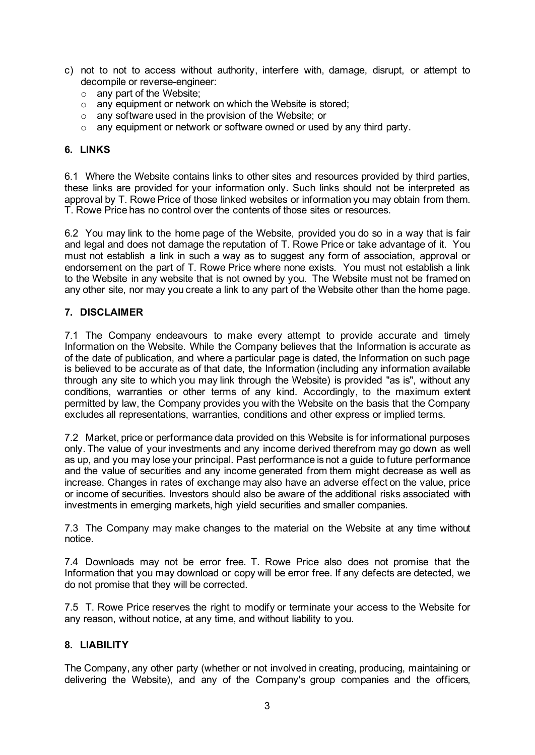- c) not to not to access without authority, interfere with, damage, disrupt, or attempt to decompile or reverse-engineer:
	- o any part of the Website;
	- $\circ$  any equipment or network on which the Website is stored;
	- o any software used in the provision of the Website; or
	- o any equipment or network or software owned or used by any third party.

### **6. LINKS**

6.1 Where the Website contains links to other sites and resources provided by third parties, these links are provided for your information only. Such links should not be interpreted as approval by T. Rowe Price of those linked websites or information you may obtain from them. T. Rowe Price has no control over the contents of those sites or resources.

6.2 You may link to the home page of the Website, provided you do so in a way that is fair and legal and does not damage the reputation of T. Rowe Price or take advantage of it. You must not establish a link in such a way as to suggest any form of association, approval or endorsement on the part of T. Rowe Price where none exists. You must not establish a link to the Website in any website that is not owned by you. The Website must not be framed on any other site, nor may you create a link to any part of the Website other than the home page.

### **7. DISCLAIMER**

7.1 The Company endeavours to make every attempt to provide accurate and timely Information on the Website. While the Company believes that the Information is accurate as of the date of publication, and where a particular page is dated, the Information on such page is believed to be accurate as of that date, the Information (including any information available through any site to which you may link through the Website) is provided "as is", without any conditions, warranties or other terms of any kind. Accordingly, to the maximum extent permitted by law, the Company provides you with the Website on the basis that the Company excludes all representations, warranties, conditions and other express or implied terms.

7.2 Market, price or performance data provided on this Website is for informational purposes only. The value of your investments and any income derived therefrom may go down as well as up, and you may lose your principal. Past performance is not a guide to future performance and the value of securities and any income generated from them might decrease as well as increase. Changes in rates of exchange may also have an adverse effect on the value, price or income of securities. Investors should also be aware of the additional risks associated with investments in emerging markets, high yield securities and smaller companies.

7.3 The Company may make changes to the material on the Website at any time without notice.

7.4 Downloads may not be error free. T. Rowe Price also does not promise that the Information that you may download or copy will be error free. If any defects are detected, we do not promise that they will be corrected.

7.5 T. Rowe Price reserves the right to modify or terminate your access to the Website for any reason, without notice, at any time, and without liability to you.

### **8. LIABILITY**

The Company, any other party (whether or not involved in creating, producing, maintaining or delivering the Website), and any of the Company's group companies and the officers,